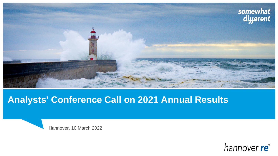

# **Analysts' Conference Call on 2021 Annual Results**

Hannover, 10 March 2022

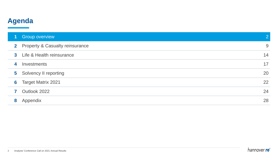<span id="page-1-0"></span>

| 1 | <b>Group overview</b>             | $\overline{2}$ |
|---|-----------------------------------|----------------|
|   | 2 Property & Casualty reinsurance | 9              |
|   | 3 Life & Health reinsurance       | 14             |
| 4 | Investments                       | 17             |
|   | 5 Solvency II reporting           | 20             |
| 6 | <b>Target Matrix 2021</b>         | 22             |
|   | Outlook 2022                      | 24             |
| 8 | Appendix                          | 28             |
|   |                                   |                |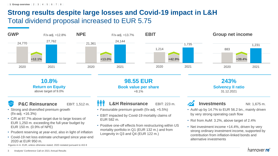# **Strong results despite large losses and Covid-19 impact in L&H**  Total dividend proposal increased to EUR 5.75



Figures in m. EUR, unless otherwise stated; 2020 restated pursuant to IAS 8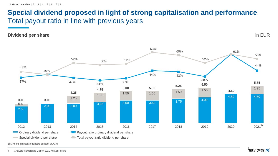| **1 Group overview** | 2 | 3 | 4 | 5 | 6 | 7 | 8 |

### **Special dividend proposed in light of strong capitalisation and performance** Total payout ratio in line with previous years

**Dividend per share** in EUR



1) Dividend proposal; subject to consent of AGM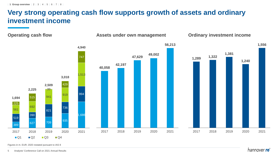### **Very strong operating cash flow supports growth of assets and ordinary investment income**



Figures in m. EUR; 2020 restated pursuant to IAS 8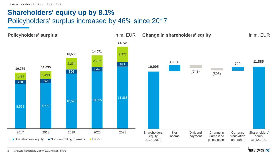# **Shareholders' equity up by 8.1%**  Policyholders' surplus increased by 46% since 2017



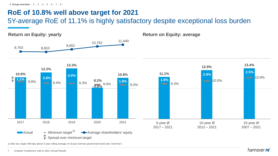## **RoE of 10.8% well above target for 2021** 5Y-average RoE of 11.1% is highly satisfactory despite exceptional loss burden



5-year Ø 2017 – 2021

10-year Ø 2012 – 2021

**Actual**  $\qquad$  **Minimum target<sup>1)</sup>**  $\qquad$  **Average shareholders' equity**  $-$  Minimum target<sup>1)</sup>  $\textcircled{1}$  Spread over minimum target

2017 2018 2019 2020 2021

1) After tax; target: 900 bps above 5-year rolling average of 10-year German government bond rate ("risk free")

15-year Ø 2007 – 2021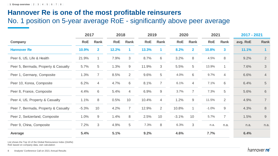# **Hannover Re is one of the most profitable reinsurers** No. 1 position on 5-year average RoE - significantly above peer average

|                                      | 2017       |                | 2018       |                | 2019       |                | 2020       |                | 2021       |                | 2017 - 2021 |                |
|--------------------------------------|------------|----------------|------------|----------------|------------|----------------|------------|----------------|------------|----------------|-------------|----------------|
| Company                              | <b>RoE</b> | Rank           | <b>RoE</b> | Rank           | <b>RoE</b> | Rank           | <b>RoE</b> | Rank           | <b>RoE</b> | Rank           | avg. RoE    | Rank           |
| <b>Hannover Re</b>                   | 10.9%      | $\mathbf{2}$   | 12.2%      | 1              | 13.3%      | 1              | 8.2%       | $\mathbf{2}$   | 10.8%      | $\mathbf{3}$   | 11.1%       | 1              |
| Peer 6, US, Life & Health            | 21.9%      | $\overline{1}$ | 7.9%       | 3              | 8.7%       | 6              | 3.2%       | 8              | 4.5%       | 8              | 9.2%        | 2              |
| Peer 5, Bermuda, Property & Casualty | 5.7%       | 5              | 1.3%       | 9              | 11.9%      | 3              | 5.5%       | 5              | 13.9%      | $\overline{1}$ | 7.6%        | 3              |
| Peer 1, Germany, Composite           | 1.3%       | $\overline{7}$ | 8.5%       | 2              | 9.6%       | 5              | 4.0%       | 6              | 9.7%       | $\overline{4}$ | 6.6%        | $\overline{4}$ |
| Peer 10, Korea, Composite            | 6.2%       | $\overline{4}$ | 4.7%       | 6              | 8.1%       | $\overline{7}$ | 6.1%       | $\overline{4}$ | 7.1%       | 6              | 6.4%        | $\overline{5}$ |
| Peer 8, France, Composite            | 4.4%       | 6              | 5.4%       | 4              | 6.9%       | $9\,$          | 3.7%       | $\overline{7}$ | 7.3%       | 5              | 5.6%        | 6              |
| Peer 4, US, Property & Casualty      | 1.1%       | 8              | 0.5%       | 10             | 10.4%      | $\overline{4}$ | 1.2%       | $9\,$          | 11.5%      | $\overline{2}$ | 4.9%        | $\overline{7}$ |
| Peer 7, Bermuda, Property & Casualty | $-5.3%$    | 10             | 4.2%       | $\overline{7}$ | 12.9%      | $\overline{2}$ | 10.8%      |                | $-1.0%$    | 9              | 4.3%        | 8              |
| Peer 2, Switzerland, Composite       | 1.0%       | 9              | 1.4%       | 8              | 2.5%       | 10             | $-3.1%$    | 10             | 5.7%       | $\overline{7}$ | 1.5%        | $\mathsf{9}$   |
| Peer 9, China, Composite             | 7.2%       | 3              | 4.9%       | 5              | 7.3%       | 8              | 6.3%       | $\mathfrak{S}$ | n.a.       | n.a.           | n.a.        | n.a.           |
| Average                              | 5.4%       |                | 5.1%       |                | 9.2%       |                | 4.6%       |                | 7.7%       |                | 6.4%        |                |

List shows the Top 10 of the Global Reinsurance Index (GloRe) RoE based on company data, own calculation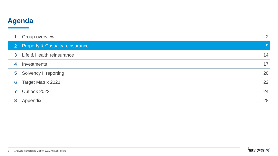<span id="page-8-0"></span>

|              | <b>Group overview</b>             | $\overline{2}$ |
|--------------|-----------------------------------|----------------|
|              | 2 Property & Casualty reinsurance | 9              |
| $\mathbf{3}$ | Life & Health reinsurance         | 14             |
| 4            | Investments                       | 17             |
| 5            | Solvency II reporting             | 20             |
| 6            | <b>Target Matrix 2021</b>         | 22             |
|              | Outlook 2022                      | 24             |
| 8            | Appendix                          | 28             |
|              |                                   |                |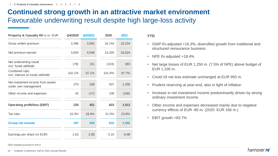# **Continued strong growth in an attractive market environment** Favourable underwriting result despite high large-loss activity

| Property & Casualty R/I in m. EUR                         | Q4/2020 | Q4/2021 | 2020   | 2021   |
|-----------------------------------------------------------|---------|---------|--------|--------|
| Gross written premium                                     | 3,396   | 3,955   | 16,744 | 19,224 |
| Net premium earned                                        | 3,693   | 4,548   | 14,205 | 16,624 |
| Net underwriting result<br>incl. funds withheld           | (78)    | 131     | (224)  | 383    |
| Combined ratio<br>incl. interest on funds withheld        | 102.1%  | 97.1%   | 101.6% | 97.7%  |
| Net investment income from assets<br>under own management | 270     | 338     | 937    | 1,295  |
| Other income and expenses                                 | 42      | (17)    | 109    | (166)  |
| <b>Operating profit/loss (EBIT)</b>                       | 235     | 451     | 823    | 1,512  |
| Tax ratio                                                 | 10.3%   | 18.6%   | 21.0%  | 23.8%  |
| <b>Group net income</b>                                   | 197     | 343     | 615    | 1,082  |
| Earnings per share (in EUR)                               | 1.63    | 2.85    | 5.10   | 8.98   |

**YTD**

- GWP f/x-adjusted +16.3%, diversified growth from traditional and structured reinsurance business
- NPE f/x-adjusted +18.4%
- Net large losses of EUR 1,250 m. (7.5% of NPE) above budget of EUR 1,100 m.
- Covid-19 net loss estimate unchanged at EUR 950 m.
- Prudent reserving at year-end, also in light of inflation
- Increase in net investment income predominantly driven by strong ordinary investment income
- Other income and expenses decreased mainly due to negative currency effects of EUR -80 m. (2020: EUR 166 m.)
- EBIT growth +83.7%

2020 restated pursuant to IAS 8

10 Analysts' Conference Call on 2021 Annual Results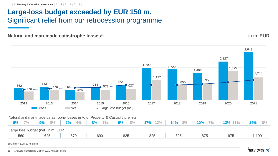# **Large-loss budget exceeded by EUR 150 m.** Significant relief from our retrocession programme

**Natural and man-made catastrophe losses<sup>1)</sup> in m. EUR and the set of the set of the set of the set of the set of the set of the set of the set of the set of the set of the set of the set of the set of the set of the set o** 

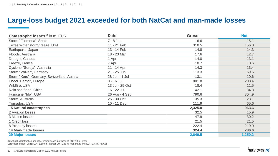#### **Large-loss budget 2021 exceeded for both NatCat and man-made losses**

| Large-loss budget 2021 exceeded for both NatCat and man-made losses |                 |              |            |
|---------------------------------------------------------------------|-----------------|--------------|------------|
|                                                                     |                 |              |            |
| Catastrophe losses <sup>1)</sup> in m. EUR                          | <b>Date</b>     | <b>Gross</b> | <b>Net</b> |
| Storm "Filomena", Spain                                             | $7 - 8$ Jan     | 16.6         | 15.1       |
| Texas winter storm/freeze, USA                                      | 11 - 21 Feb     | 310.5        | 156.0      |
| Earthquake, Japan                                                   | 13 - 14 Feb     | 14.8         | 14.3       |
| Floods, Australia                                                   | 18 - 23 Mar     | 17.6         | 12.7       |
| Drought, Canada                                                     | 1 Apr           | 14.0         | 13.1       |
| Freeze, France                                                      | 7 Apr           | 10.7         | 10.6       |
| Cyclone "Seroja", Australia                                         | 11 - 14 Apr     | 14.3         | 13.4       |
| Storm "Volker", Germany                                             | 21 - 25 Jun     | 113.3        | 69.6       |
| Storm "Xero", Germany, Switzerland, Austria                         | 28 Jun - 1 Jul  | 13.1         | 10.6       |
| Flood "Bernd", Europe                                               | 8 - 16 Jul      | 801.8        | 208.4      |
| Wildfire, USA                                                       | 13 Jul - 25 Oct | 18.4         | 11.5       |
| Rain and flood, China                                               | 16 - 22 Jul     | 42.1         | 34.8       |
| Hurricane "Ida", USA                                                | 26 Aug - 4 Sep  | 790.6        | 304.9      |
| Storm, Australia                                                    | 25 - 30 Oct     | 35.3         | 23.1       |
| Tornados, USA                                                       | 10 - 11 Dec     | 111.9        | 65.6       |
| <b>15 Natural catastrophes</b>                                      |                 | 2,325.0      | 963.6      |
| 2 Aviation losses                                                   |                 | 32.5         | 15.9       |
| 3 Marine losses                                                     |                 | 47.9         | 30.2       |
| 1 Credit loss                                                       |                 | 21.5         | 21.5       |
| 8 Property losses                                                   |                 | 222.4        | 219.0      |
| <b>14 Man-made losses</b>                                           |                 | 324.4        | 286.6      |
| <b>29 Major losses</b>                                              |                 | 2,649.5      | 1,250.2    |

1) Natural catastrophes and other major losses in excess of EUR 10 m. gross Large loss budget 2021: EUR 1,100 m. thereof EUR 225 m. man-made and EUR 875 m. NatCat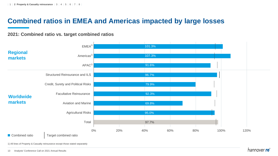### **Combined ratios in EMEA and Americas impacted by large losses**

#### **2021: Combined ratio vs. target combined ratios**



1) All lines of Property & Casualty reinsurance except those stated separately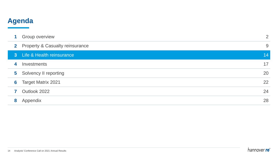<span id="page-13-0"></span>

|   | <b>Group overview</b>             | 2  |
|---|-----------------------------------|----|
|   | 2 Property & Casualty reinsurance | 9  |
|   | 3 Life & Health reinsurance       | 14 |
| 4 | Investments                       | 17 |
| 5 | Solvency II reporting             | 20 |
| 6 | <b>Target Matrix 2021</b>         | 22 |
|   | Outlook 2022                      | 24 |
|   | Appendix                          | 28 |
|   |                                   |    |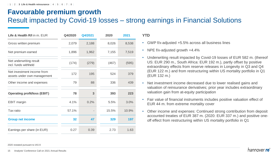# **Favourable premium growth**

# Result impacted by Covid-19 losses – strong earnings in Financial Solutions

| Life & Health R/I in m. EUR                               | Q4/2020 | Q4/2021 | 2020  | 2021  |
|-----------------------------------------------------------|---------|---------|-------|-------|
| Gross written premium                                     | 2,079   | 2,188   | 8,026 | 8,538 |
| Net premium earned                                        | 1,896   | 1,962   | 7,155 | 7,519 |
| Net underwriting result<br>incl. funds withheld           | (174)   | (279)   | (467) | (595) |
| Net investment income from<br>assets under own management | 172     | 195     | 524   | 379   |
| Other income and expenses                                 | 79      | 88      | 336   | 439   |
| <b>Operating profit/loss (EBIT)</b>                       | 78      | 3       | 393   | 223   |
| <b>EBIT</b> margin                                        | 4.1%    | 0.2%    | 5.5%  | 3.0%  |
| Tax ratio                                                 | 57.1%   |         | 15.5% | 10.9% |
| <b>Group net income</b>                                   | 32      | 47      | 329   | 197   |
| Earnings per share (in EUR)                               | 0.27    | 0.39    | 2.73  | 1.63  |

#### **YTD**

- GWP f/x-adjusted +5.5% across all business lines
- NPE f/x-adjusted growth +4.4%
- Underwriting result impacted by Covid-19 losses of EUR 582 m. (thereof US: EUR 290 m., South Africa: EUR 192 m.), partly offset by positive extraordinary effects from reserve releases in Longevity in Q3 and Q4 (EUR 122 m.) and from restructuring within US mortality portfolio in Q1 (EUR 132 m.)
- Net investment income decreased due to lower realised gains and valuation of reinsurance derivatives; prior year includes extraordinary valuation gain from at-equity participation
- Fair value of financial instruments includes positive valuation effect of EUR 44 m. from extreme mortality cover
- Other income and expenses: Continued strong contribution from deposit accounted treaties of EUR 387 m. (2020: EUR 337 m.) and positive oneoff effect from restructuring within US mortality portfolio in Q1

2020 restated pursuant to IAS 8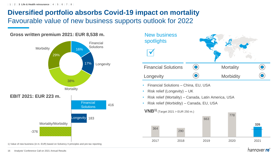# **Diversified portfolio absorbs Covid-19 impact on mortality** Favourable value of new business supports outlook for 2022

#### Financial **Solutions** Longevity **Mortality Morbidity Gross written premium 2021: EUR 8,538 m. EBIT 2021: EUR 223 m.** -376 183 416 Financial **Solutions Longevity** Mortality/Morbidity 29% 16% 17% 38%

1) Value of new business (in m. EUR) based on Solvency II principles and pre-tax reporting

| <b>New business</b><br>spotlights |                  |  |
|-----------------------------------|------------------|--|
| <b>Financial Solutions</b>        | <b>Mortality</b> |  |
| Longevity                         | Morbidity        |  |
|                                   |                  |  |

- Financial Solutions China, EU, USA
- Risk relief (Longevity) UK
- Risk relief (Mortality) Canada, Latin America, USA
- Risk relief (Morbidity) Canada, EU, USA

#### **VNB1)** (Target 2021 > EUR 250 m.)



hannover **re**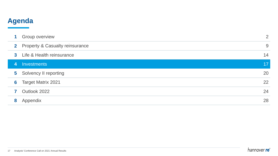<span id="page-16-0"></span>

| 1              | <b>Group overview</b>             | 2  |
|----------------|-----------------------------------|----|
|                | 2 Property & Casualty reinsurance | 9  |
| 3 <sup>1</sup> | Life & Health reinsurance         | 14 |
| $\overline{4}$ | <b>Investments</b>                | 17 |
|                | 5 Solvency II reporting           | 20 |
| 6              | <b>Target Matrix 2021</b>         | 22 |
|                | Outlook 2022                      | 24 |
| 8              | Appendix                          | 28 |
|                |                                   |    |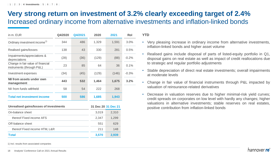# **Very strong return on investment of 3.2% clearly exceeding target of 2.4%** Increased ordinary income from alternative investments and inflation-linked bonds

| in m. EUR                                                      | Q4/2020 | Q4/2021 | 2020  | 2021  | Rol     |
|----------------------------------------------------------------|---------|---------|-------|-------|---------|
| Ordinary investment income <sup>1)</sup>                       | 344     | 486     | 1,329 | 1,591 | $3.0\%$ |
| Realised gains/losses                                          | 138     | 43      | 330   | 281   | 0.5%    |
| Impairments/appreciations &<br>depreciations                   | (28)    | (36)    | (129) | (88)  | $-0.2%$ |
| Change in fair value of financial<br>instruments (through P&L) | 23      | 85      | 64    | 36    | 0.1%    |
| Investment expenses                                            | (34)    | (45)    | (129) | (146) | $-0.3%$ |
| NII from assets under own<br>management                        | 443     | 532     | 1,464 | 1,675 | 3.2%    |
| NII from funds withheld                                        | 58      | 54      | 222   | 268   |         |
| <b>Total net investment income</b>                             | 500     | 586     | 1,685 | 1,943 |         |
|                                                                |         |         |       |       |         |

| Unrealised gains/losses of investments | 31 Dec 20 31 Dec 21 |       |
|----------------------------------------|---------------------|-------|
| On-balance sheet                       | 3.019               | 2.310 |
| thereof Fixed income AFS               | 2.347               | 1.299 |
| Off-balance sheet                      | 551                 | 629   |
| thereof Fixed income HTM, L&R          | 211                 | 148   |
| Total                                  | 3,570               | 2.939 |

1) Incl. results from associated companies

**YTD**

- Very pleasing increase in ordinary income from alternative investments, inflation-linked bonds and higher asset volume
- Realised gains include disposal of parts of listed-equity portfolio in Q1, disposal gains on real estate as well as impact of credit reallocations due to strategic and regular portfolio adjustments
- Stable depreciation of direct real estate investments; overall impairments at moderate levels
- Change in fair value of financial instruments through P&L impacted by valuation of reinsurance-related derivatives
- Decrease in valuation reserves due to higher minimal-risk yield curves; credit spreads on corporates on low level with hardly any changes; higher valuations in alternative investments; stable reserves on real estates, positive contribution from inflation-linked bonds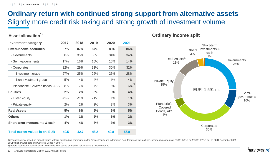# **Ordinary return with continued strong support from alternative assets** Slightly more credit risk taking and strong growth of investment volume

#### Asset allocation<sup>1)</sup>

| <b>Investment category</b>            | 2017    | 2018    | 2019    | 2020 | 2021       |
|---------------------------------------|---------|---------|---------|------|------------|
| <b>Fixed-income securities</b>        | 87%     | 87%     | 87%     | 85%  | 86%        |
| - Governments                         | 30%     | 35%     | 35%     | 34%  | 34%        |
| - Semi-governments                    | 17%     | 16%     | 15%     | 15%  | 14%        |
| - Corporates                          | 32%     | 29%     | 31%     | 30%  | 32%        |
| Investment grade                      | 27%     | 25%     | 26%     | 25%  | 28%        |
| Non-investment grade                  | 5%      | 4%      | 4%      | 4%   | 4%         |
| - Pfandbriefe, Covered bonds, ABS     | 8%      | 7%      | 7%      | 6%   | $6\%^{2)}$ |
| <b>Equities</b>                       | 2%      | 2%      | 3%      | 3%   | 4%         |
| - Listed equity                       | $< 1\%$ | $< 1\%$ | $< 1\%$ | 1%   | 1%         |
| - Private equity                      | 2%      | 2%      | 2%      | 3%   | 3%         |
| <b>Real Assets</b>                    | 5%      | 6%      | 5%      | 5%   | 5%         |
| <b>Others</b>                         | 1%      | 1%      | 2%      | 3%   | 2%         |
| Short-term investments & cash         | 4%      | 4%      | 3%      | 3%   | 3%         |
|                                       |         |         |         |      |            |
| <b>Total market values in bn. EUR</b> | 40.5    | 42.7    | 48.2    | 49.8 | 56.8       |

**And** *Ordinary income split* 



1) Economic view based on market values without outstanding commitments for Private Equity and Alternative Real Estate as well as fixed-income investments of EUR 1,588.2 m. (EUR 1,275.6 m.) as at 31 December 2021

2) Of which Pfandbriefe and Covered Bonds = 59.8%

3) Before real estate-specific costs. Economic view based on market values as at 31 December 2021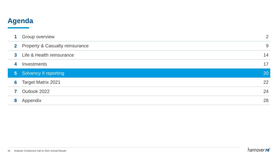<span id="page-19-0"></span>

| 1            | <b>Group overview</b>             | 2  |
|--------------|-----------------------------------|----|
|              | 2 Property & Casualty reinsurance | 9  |
| $\mathbf{3}$ | Life & Health reinsurance         | 14 |
| 4            | Investments                       | 17 |
|              | 5 Solvency II reporting           | 20 |
| 6            | <b>Target Matrix 2021</b>         | 22 |
|              | Outlook 2022                      | 24 |
| 8            | Appendix                          | 28 |
|              |                                   |    |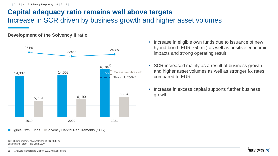# **Capital adequacy ratio remains well above targets** Increase in SCR driven by business growth and higher asset volumes

#### **Development of the Solvency II ratio**



<sup>■</sup> Eligible Own Funds ■ Solvency Capital Requirements (SCR)

1) Excluding minority shareholdings of EUR 680 m.

2) Minimum Target Ratio Limit 180%

- Increase in eligible own funds due to issuance of new hybrid bond (EUR 750 m.) as well as positive economic impacts and strong operating result
- SCR increased mainly as a result of business growth and higher asset volumes as well as stronger f/x rates compared to EUR
- Increase in excess capital supports further business growth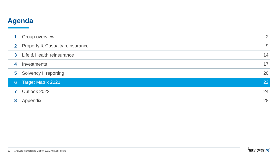<span id="page-21-0"></span>

|                | <b>Group overview</b>             | 2  |
|----------------|-----------------------------------|----|
|                | 2 Property & Casualty reinsurance | 9  |
| 3              | Life & Health reinsurance         | 14 |
| 4              | Investments                       | 17 |
| 5 <sup>5</sup> | Solvency II reporting             | 20 |
| 6 <sup>1</sup> | <b>Target Matrix 2021</b>         | 22 |
|                | Outlook 2022                      | 24 |
| 8              | Appendix                          | 28 |
|                |                                   |    |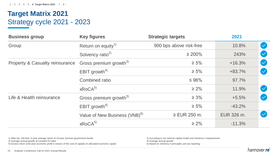# **Target Matrix 2021** Strategy cycle 2021 - 2023

| <b>Business group</b>                      | <b>Key figures</b>                        | <b>Strategic targets</b> | 2021       |                         |
|--------------------------------------------|-------------------------------------------|--------------------------|------------|-------------------------|
| Group                                      | Return on equity <sup>1)</sup>            | 900 bps above risk-free  | 10.8%      |                         |
|                                            | Solvency ratio <sup>2)</sup>              | $\geq 200\%$             | 243%       | $\checkmark$            |
| <b>Property &amp; Casualty reinsurance</b> | Gross premium growth <sup>3)</sup>        | $\geq 5\%$               | $+16.3%$   | $\checkmark$            |
|                                            | EBIT growth <sup>4)</sup>                 | $\geq 5\%$               | $+83.7%$   | $\checkmark$            |
|                                            | <b>Combined ratio</b>                     | $\leq 96\%$              | 97.7%      |                         |
|                                            | XROCA <sup>5</sup>                        | $\geq 2\%$               | 11.9%      | $\overline{\vee}$       |
| Life & Health reinsurance                  | Gross premium growth <sup>3)</sup>        | $\geq 3\%$               | $+5.5%$    | $\overline{\mathsf{v}}$ |
|                                            | EBIT growth <sup>4)</sup>                 | $\geq 5\%$               | $-43.2%$   |                         |
|                                            | Value of New Business (VNB) <sup>6)</sup> | $\ge$ EUR 250 m.         | EUR 326 m. |                         |
|                                            | XROCA <sup>5</sup>                        | $\geq 2\%$               | $-11.3%$   |                         |

1) After tax; risk-free: 5-year average return of 10-year German government bonds 2) According to our internal capital model and Solvency II requirements

3) Average annual growth at constant f/x rates 4) Average annual growth at constant f/x rates 4)

5) Excess return (one-year economic profit in excess of the cost of capital) on allocated economic capital 6) Based on Solvency II principles; pre-tax reporting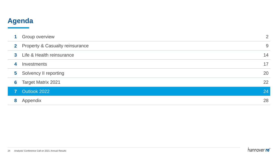<span id="page-23-0"></span>

|              | <b>Group overview</b>             | $\overline{2}$ |
|--------------|-----------------------------------|----------------|
|              | 2 Property & Casualty reinsurance | 9              |
| $\mathbf{3}$ | Life & Health reinsurance         | 14             |
| 4            | Investments                       | 17             |
| 5            | Solvency II reporting             | 20             |
| 6            | <b>Target Matrix 2021</b>         | 22             |
| $\mathbf{7}$ | Outlook 2022                      | 24             |
| 8            | Appendix                          | 28             |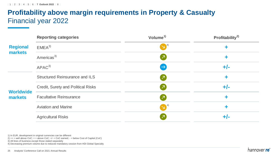| 1 | 2 | 3 | 4 | 5 | 6 | **7 Outlook 2022** | 8 |

# **Profitability above margin requirements in Property & Casualty** Financial year 2022

|                            | <b>Reporting categories</b>               | Volume <sup>1)</sup>         | Profitability <sup>2)</sup> |
|----------------------------|-------------------------------------------|------------------------------|-----------------------------|
| <b>Regional</b><br>markets | $EMEA^{3)}$                               |                              | ÷                           |
|                            | Americas <sup>3)</sup>                    | $\sqrt{2}$                   | ÷                           |
|                            | APAC <sup>3</sup>                         | $\left( \rightarrow \right)$ | $+/-$                       |
|                            | <b>Structured Reinsurance and ILS</b>     | $\mathcal{F}$                | ╋                           |
| <b>Worldwide</b>           | <b>Credit, Surety and Political Risks</b> | $\overline{\phantom{a}}$     | $+/-$                       |
| markets                    | <b>Facultative Reinsurance</b>            | $\overline{z}$               | ÷                           |
|                            | <b>Aviation and Marine</b>                | $\mathbf{z}$                 | ╋                           |
|                            | <b>Agricultural Risks</b>                 | $\overline{\mathcal{L}}$     | +/-                         |

1) In EUR, development in original currencies can be different

 $2$ ) ++ = well above CoC; + = above CoC; +/- = CoC earned; - = below Cost of Capital (CoC)

3) All lines of business except those stated separately

4) Decreasing premium volume due to reduced mandatory cession from HDI Global Specialty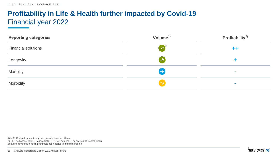# **Profitability in Life & Health further impacted by Covid-19** Financial year 2022

| <b>Reporting categories</b> | Volume <sup>1)</sup>              | Profitability <sup>2)</sup> |
|-----------------------------|-----------------------------------|-----------------------------|
| <b>Financial solutions</b>  | $\sum_{i=1}^{3}$                  | **                          |
| Longevity                   | $\overline{\boldsymbol{\lambda}}$ |                             |
| Mortality                   | $\rightarrow$                     | ÷                           |
| <b>Morbidity</b>            | $\blacktriangleright$             | <b>COL</b>                  |

1) In EUR, development in original currencies can be different

 $2)$  ++ = well above CoC; + = above CoC; +/- = CoC earned; - = below Cost of Capital (CoC)

3) Business volume including contracts not reflected in premium income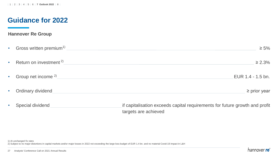#### **Guidance for 2022**

#### **Hannover Re Group**

| $\bullet$ . | Gross written premium <sup>1)</sup> | $\geq 5\%$        |
|-------------|-------------------------------------|-------------------|
| $\bullet$ . | Return on investment <sup>2)</sup>  | $\geq 2.3\%$      |
| $\bullet$   | Group net income $2$ )              | EUR 1.4 - 1.5 bn. |
| $\bullet$   | Ordinary dividend                   | $\ge$ prior year  |

• Special dividend **interest and interest capitalisation** exceeds capital requirements for future growth and profit targets are achieved

1) At unchanged f/x rates

2) Subject to no major distortions in capital markets and/or major losses in 2022 not exceeding the large loss budget of EUR 1.4 bn. and no material Covid-19 impact in L&H

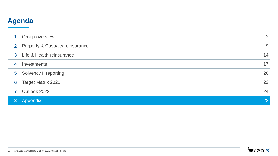<span id="page-27-0"></span>

|                | <b>Group overview</b>             | $\overline{2}$ |
|----------------|-----------------------------------|----------------|
|                | 2 Property & Casualty reinsurance | 9              |
| 3 <sup>1</sup> | Life & Health reinsurance         | 14             |
| 4              | Investments                       | 17             |
| 5              | Solvency II reporting             | 20             |
| 6              | <b>Target Matrix 2021</b>         | 22             |
|                | Outlook 2022                      | 24             |
| 8              | Appendix                          | 28             |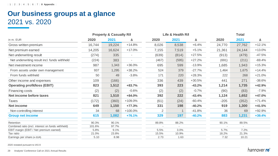# **Our business groups at a glance** 2021 vs. 2020

|                                                   |        | <b>Property &amp; Casualty R/I</b> |            | Life & Health R/I |       | <b>Total</b> |        |        |          |
|---------------------------------------------------|--------|------------------------------------|------------|-------------------|-------|--------------|--------|--------|----------|
| in m. EUR                                         | 2020   | 2021                               | Δ          | 2020              | 2021  | Δ            | 2020   | 2021   | Δ        |
| Gross written premium                             | 16,744 | 19,224                             | $+14.8%$   | 8,026             | 8,538 | $+6.4%$      | 24,770 | 27,762 | $+12.1%$ |
| Net premium earned                                | 14,205 | 16,624                             | $+17.0%$   | 7,155             | 7,519 | $+5.1%$      | 21,361 | 24,144 | $+13.0%$ |
| Net underwriting result                           | (274)  | 335                                |            | (639)             | (814) | $+27.5%$     | (913)  | (479)  | $-47.5%$ |
| Net underwriting result incl. funds withheld      | (224)  | 383                                |            | (467)             | (595) | $+27.2%$     | (691)  | (211)  | $-69.4%$ |
| Net investment income                             | 987    | 1,343                              | $+36.0%$   | 695               | 599   | $-13.9%$     | 1,685  | 1,943  | $+15.3%$ |
| From assets under own management                  | 937    | 1,295                              | $+38.2%$   | 524               | 379   | $-27.7%$     | 1,464  | 1,675  | $+14.4%$ |
| From funds withheld                               | 50     | 49                                 | $-3.8%$    | 171               | 220   | $+28.3%$     | 222    | 268    | $+21.0%$ |
| Other income and expenses                         | 109    | (166)                              |            | 336               | 439   | $+30.5%$     | 441    | 271    | $-38.6%$ |
| <b>Operating profit/loss (EBIT)</b>               | 823    | 1,512                              | $+83.7%$   | 393               | 223   | $-43.2%$     | 1,214  | 1,735  | $+42.9%$ |
| Financing costs                                   | (2)    | (2)                                | $-0.6%$    | (2)               | (2)   | $-0.7%$      | (90)   | (83)   | $-7.9%$  |
| Net income before taxes                           | 821    | 1,510                              | $+84.0%$   | 392               | 222   | $-43.4%$     | 1,124  | 1,652  | $+47.0%$ |
| <b>Taxes</b>                                      | (172)  | (360)                              | +109.0%    | (61)              | (24)  | $-60.4%$     | $-205$ | (352)  | $+71.4%$ |
| <b>Net income</b>                                 | 649    | 1,150                              | $+77.3%$   | 331               | 198   | $-40.2%$     | 919    | 1,300  | $+41.5%$ |
| Non-controlling interest                          | 34     | 68                                 | $+100.0\%$ | $\overline{2}$    |       | $-41.8%$     | 36     | 69     | $+92.9%$ |
| <b>Group net income</b>                           | 615    | 1,082                              | $+76.1%$   | 329               | 197   | $-40.2%$     | 883    | 1,231  | $+39.4%$ |
| Retention                                         | 90.3%  | 90.1%                              |            | 89.8%             | 88.2% |              | 90.1%  | 89.5%  |          |
| Combined ratio (incl. interest on funds withheld) | 101.6% | 97.7%                              |            |                   |       |              |        |        |          |
| EBIT margin (EBIT / Net premium earned)           | 5.8%   | 9.1%                               |            | 5.5%              | 3.0%  |              | 5.7%   | 7.2%   |          |
| Tax ratio                                         | 21.0%  | 23.8%                              |            | 15.5%             | 10.9% |              | 18.2%  | 21.3%  |          |
| Earnings per share (in EUR)                       | 5.10   | 8.98                               |            | 2.73              | 1.63  |              | 7.32   | 10.21  |          |

2020 restated pursuant to IAS 8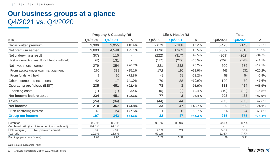# **Our business groups at a glance** Q4/2021 vs. Q4/2020

|                                                   |         | <b>Property &amp; Casualty R/I</b> |           | Life & Health R/I |                | <b>Total</b> |         |                |          |
|---------------------------------------------------|---------|------------------------------------|-----------|-------------------|----------------|--------------|---------|----------------|----------|
| in m. EUR                                         | Q4/2020 | Q4/2021                            | Δ         | Q4/2020           | Q4/2021        | Δ            | Q4/2020 | Q4/2021        | Δ        |
| Gross written premium                             | 3,396   | 3,955                              | $+16.4%$  | 2,079             | 2,188          | $+5.2%$      | 5,475   | 6,143          | $+12.2%$ |
| Net premium earned                                | 3,693   | 4,548                              | $+23.1%$  | 1,896             | 1,962          | $+3.5%$      | 5,589   | 6,510          | $+16.5%$ |
| Net underwriting result                           | (87)    | 115                                |           | (222)             | (317)          | $+42.5%$     | (309)   | (202)          | $-34.7%$ |
| Net underwriting result incl. funds withheld      | (78)    | 131                                |           | (174)             | (279)          | $+60.5%$     | (252)   | (148)          | $-41.1%$ |
| Net investment income                             | 279     | 354                                | $+26.7%$  | 221               | 232            | $+5.2%$      | 500     | 586            | $+17.1%$ |
| From assets under own management                  | 270     | 338                                | $+25.1%$  | 172               | 195            | $+12.9%$     | 443     | 532            | $+20.2%$ |
| From funds withheld                               | 9       | 16                                 | $+72.8%$  | 48                | 38             | $-22.2%$     | 58      | 54             | $-6.9%$  |
| Other income and expenses                         | 42      | $-17$                              | $-141.0%$ | 79                | 88             | $+10.9%$     | 120     | 70             | $-41.6%$ |
| <b>Operating profit/loss (EBIT)</b>               | 235     | 451                                | $+92.4%$  | 78                | 3              | $-95.9%$     | 311     | 454            | +45.9%   |
| Financing costs                                   | (1)     | (1)                                | $+3.4%$   | (0)               | (0)            | $-12.4%$     | (19)    | (22)           | $+15.8%$ |
| Net income before taxes                           | 234     | 451                                | $+92.6%$  | 77                | 3              | $-96.4%$     | 293     | 433            | +47.9%   |
| Taxes                                             | (24)    | (84)                               |           | (44)              | 44             |              | (63)    | (33)           | $-47.3%$ |
| <b>Net income</b>                                 | 210     | 367                                | $+74.8%$  | 33                | 47             | $+42.7%$     | 229     | 399            | $+74.1%$ |
| Non-controlling interest                          | 13      | 24                                 | $+77.5%$  |                   | $\overline{0}$ | $-62.7%$     | 14      | 24             | $+69.8%$ |
| <b>Group net income</b>                           | 197     | 343                                | $+74.6%$  | 32                | 47             | $+45.3%$     | 215     | 375            | $+74.4%$ |
| Retention                                         | 90.1%   | 89.1%                              |           | 90.7%             | 88.0%          |              | 90.3%   | 88.7%          |          |
| Combined ratio (incl. interest on funds withheld) | 102.1%  | 97.1%                              |           |                   |                |              |         | $\blacksquare$ |          |
| EBIT margin (EBIT / Net premium earned)           | 6.3%    | 9.9%                               |           | 4.1%              | 0.2%           |              | 5.6%    | 7.0%           |          |
| Tax ratio                                         | 10.3%   | 18.6%                              |           | 57.1%             |                |              | 21.6%   | 7.7%           |          |
| Earnings per share (in EUR)                       | 1.63    | 2.85                               |           | 0.27              | 0.39           |              | 1.78    | 3.11           |          |

2020 restated pursuant to IAS 8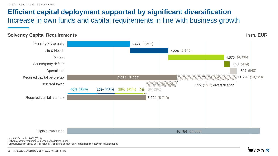#### | 1 | 2 | 3 | 4 | 5 | 6 | 7 | **8 Appendix** |

# **Efficient capital deployment supported by significant diversification** Increase in own funds and capital requirements in line with business growth

#### **Solvency Capital Requirements** in m. EUR





As at 31 December 2021 (2020)

Solvency capital requirements based on the internal model

Capital allocation based on Tail Value-at-Risk taking account of the dependencies between risk categories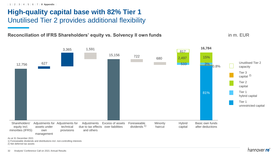#### | 1 | 2 | 3 | 4 | 5 | 6 | 7 | **8 Appendix** |

## **High-quality capital base with 82% Tier 1** Unutilised Tier 2 provides additional flexibility

#### **Reconciliation of IFRS Shareholders' equity vs. Solvency II own funds** *in m. EUR*

81% 12,756 627 3,365 1,591 15,156 722 680  $\frac{3\%}{0.8\%}$ 2,497 3% 15% 817 **16,784** Shareholders' equity incl. minorities (IFRS) Adjustments for Adjustments for assets under own management technical provisions Adjustments Excess of assets due to tax effects over liabilities and others Foreseeable dividends<sup>1)</sup> Minority haircut **Hybrid** capital Basic own funds after deductions Unutilised Tier 2 capacity Tier 3 capital 2) Tier 2 capital Tier 1 hybrid capital Tier 1 unrestricted capital

As at 31 December 2021

1) Foreseeable dividends and distributions incl. non-controlling interests 2) Net deferred tax assets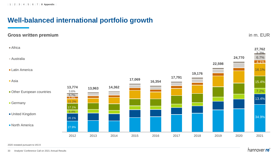## **Well-balanced international portfolio growth**



2020 restated pursuant to IAS 8

hannover re<sup>®</sup>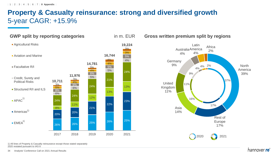#### | 1 | 2 | 3 | 4 | 5 | 6 | 7 | **8 Appendix** |

# **Property & Casualty reinsurance: strong and diversified growth** 5-year CAGR: +15.9%

26% 26% 25% 26% 25% 20% 20% 21% 22% 23% 8% 11% 12% 13% 13% 24% 24% 24% 21% 24% 6% 6% 5% 5% 4% 8% 6% 6% 5% 5%  $5%$  $4%$  $4%$  $4\%$ 3% 3% 3% 3%  $4%$ 3% **10,711 11,976 14,781 16,744 19,224** 2017 2018 2019 2020 2021 **Agricultural Risks** Aviation and Marine ■ Facultative R/I Credit, Surety and Political Risks ■ Structured R/I and ILS  $APAC<sup>1</sup>$ Americas<sup>1)</sup>  $EMEA<sup>1</sup>$ 

**GWP split by reporting categories** in m. EUR

**Gross written premium split by regions**



1) All lines of Property & Casualty reinsurance except those stated separately 2020 restated pursuant to IAS 8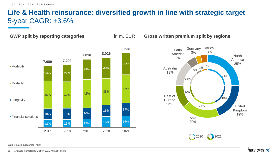#### | 1 | 2 | 3 | 4 | 5 | 6 | 7 | **8 Appendix** |

## **Life & Health reinsurance: diversified growth in line with strategic target** 5-year CAGR: +3.6%

18 % 18% 18% 16% 13% 13% 16% 13% 13% 13% 16% 16% 16% 17% 45% 42% 42% 38% 38% 24% 27% 29% 30% 29% **7,080 7,200 7,816 8,026 8,538** 2017 2018 2019 2020 2021 **Morbidity Mortality Longevity Financial solutions** 

**GWP split by reporting categories** in m. EUR **Gross written premium split by regions**



2020 restated pursuant to IAS 8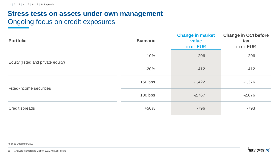# **Stress tests on assets under own management**  Ongoing focus on credit exposures

| <b>Portfolio</b>                   | <b>Scenario</b> | <b>Change in market</b><br>value<br>in m. EUR | <b>Change in OCI before</b><br>tax<br>in m. EUR |
|------------------------------------|-----------------|-----------------------------------------------|-------------------------------------------------|
| Equity (listed and private equity) | $-10%$          | $-206$                                        | $-206$                                          |
|                                    | $-20%$          | $-412$                                        | $-412$                                          |
| <b>Fixed-income securities</b>     | $+50$ bps       | $-1,422$                                      | $-1,376$                                        |
|                                    | $+100$ bps      | $-2,767$                                      | $-2,676$                                        |
| Credit spreads                     | $+50%$          | $-796$                                        | $-793$                                          |

As at 31 December 2021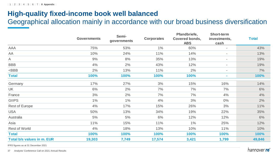### **High-quality fixed-income book well balanced**

| <b>High-quality fixed-income book well balanced</b><br>Geographical allocation mainly in accordance with our broad business diversification |                    |                      |                   |                                                     |                                           |              |  |  |
|---------------------------------------------------------------------------------------------------------------------------------------------|--------------------|----------------------|-------------------|-----------------------------------------------------|-------------------------------------------|--------------|--|--|
|                                                                                                                                             | <b>Governments</b> | Semi-<br>governments | <b>Corporates</b> | Pfandbriefe,<br><b>Covered bonds,</b><br><b>ABS</b> | <b>Short-term</b><br>investments,<br>cash | <b>Total</b> |  |  |
| <b>AAA</b>                                                                                                                                  | 75%                | 53%                  | 1%                | 60%                                                 | $\overline{\phantom{a}}$                  | 43%          |  |  |
| AA                                                                                                                                          | 10%                | 24%                  | 11%               | 14%                                                 | $\sim$                                    | 13%          |  |  |
| Α                                                                                                                                           | 9%                 | 8%                   | 35%               | 13%                                                 | $\overline{\phantom{a}}$                  | 19%          |  |  |
| <b>BBB</b>                                                                                                                                  | 4%                 | 2%                   | 43%               | 12%                                                 | $\overline{\phantom{a}}$                  | 19%          |  |  |
| $<$ BBB                                                                                                                                     | 2%                 | 13%                  | 11%               | 2%                                                  | $\sim$                                    | 7%           |  |  |
| <b>Total</b>                                                                                                                                | 100%               | 100%                 | 100%              | 100%                                                | $\sim$                                    | 100%         |  |  |
| Germany                                                                                                                                     | 17%                | 27%                  | 3%                | 15%                                                 | 16%                                       | 14%          |  |  |
| <b>UK</b>                                                                                                                                   | 6%                 | 2%                   | 7%                | 7%                                                  | 7%                                        | 6%           |  |  |
| France                                                                                                                                      | 3%                 | 2%                   | 7%                | 7%                                                  | 4%                                        | 4%           |  |  |
| <b>GIIPS</b>                                                                                                                                | $1\%$              | 1%                   | 4%                | 3%                                                  | $0\%$                                     | 2%           |  |  |
| <b>Rest of Europe</b>                                                                                                                       | 4%                 | 17%                  | 15%               | 26%                                                 | 3%                                        | 11%          |  |  |
| <b>USA</b>                                                                                                                                  | 50%                | 13%                  | 34%               | 19%                                                 | 22%                                       | 35%          |  |  |
| Australia                                                                                                                                   | 5%                 | 5%                   | 6%                | 12%                                                 | 12%                                       | 6%           |  |  |
| Asia                                                                                                                                        | 11%                | 15%                  | 11%               | 1%                                                  | 25%                                       | 12%          |  |  |
| <b>Rest of World</b>                                                                                                                        | 4%                 | 18%                  | 13%               | 10%                                                 | 11%                                       | 10%          |  |  |
| <b>Total</b>                                                                                                                                | 100%               | 100%                 | 100%              | 100%                                                | 100%                                      | 100%         |  |  |
| <b>Total b/s values in m. EUR</b>                                                                                                           | 19,303             | 7,749                | 17,574            | 3,421                                               | 1,799                                     | 49,846       |  |  |

IFRS figures as at 31 December 2021

37 Analysts' Conference Call on 2021 Annual Results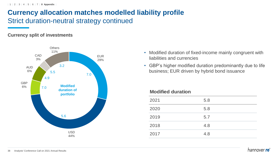# **Currency allocation matches modelled liability profile** Strict duration-neutral strategy continued

#### **Currency split of investments**



- Modified duration of fixed-income mainly congruent with liabilities and currencies
- GBP's higher modified duration predominantly due to life business; EUR driven by hybrid bond issuance

| 2021 | 5.8 |
|------|-----|
| 2020 | 5.8 |
| 2019 | 5.7 |
| 2018 | 4.8 |
| 2017 | 4.8 |

**Modified duration**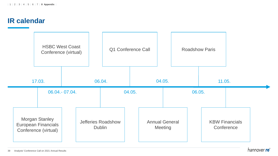#### **IR calendar**